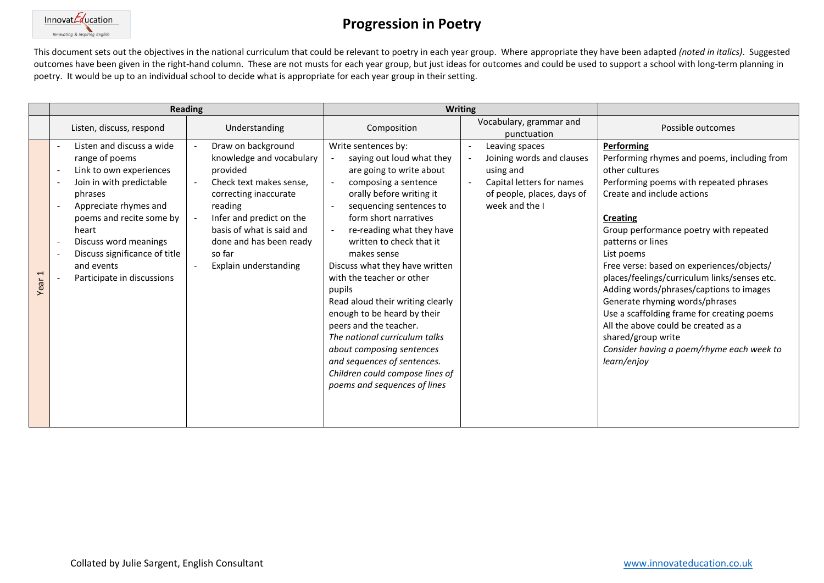

This document sets out the objectives in the national curriculum that could be relevant to poetry in each year group. Where appropriate they have been adapted *(noted in italics)*. Suggested outcomes have been given in the right-hand column. These are not musts for each year group, but just ideas for outcomes and could be used to support a school with long-term planning in poetry. It would be up to an individual school to decide what is appropriate for each year group in their setting.

|                                 | <b>Reading</b>                                                                                                                                                                                                                                                                    |                                                                                                                                                                                                                                                  | <b>Writing</b>                                                                                                                                                                                                                                                                                                                                                                                                                                                                                                                                                                                     |                                                                                                                                                                             |                                                                                                                                                                                                                                                                                                                                                                                                                                                                                                                                                                                                      |
|---------------------------------|-----------------------------------------------------------------------------------------------------------------------------------------------------------------------------------------------------------------------------------------------------------------------------------|--------------------------------------------------------------------------------------------------------------------------------------------------------------------------------------------------------------------------------------------------|----------------------------------------------------------------------------------------------------------------------------------------------------------------------------------------------------------------------------------------------------------------------------------------------------------------------------------------------------------------------------------------------------------------------------------------------------------------------------------------------------------------------------------------------------------------------------------------------------|-----------------------------------------------------------------------------------------------------------------------------------------------------------------------------|------------------------------------------------------------------------------------------------------------------------------------------------------------------------------------------------------------------------------------------------------------------------------------------------------------------------------------------------------------------------------------------------------------------------------------------------------------------------------------------------------------------------------------------------------------------------------------------------------|
|                                 | Listen, discuss, respond                                                                                                                                                                                                                                                          | Understanding                                                                                                                                                                                                                                    | Composition                                                                                                                                                                                                                                                                                                                                                                                                                                                                                                                                                                                        | Vocabulary, grammar and<br>punctuation                                                                                                                                      | Possible outcomes                                                                                                                                                                                                                                                                                                                                                                                                                                                                                                                                                                                    |
| $\overline{\phantom{0}}$<br>Yea | Listen and discuss a wide<br>range of poems<br>Link to own experiences<br>Join in with predictable<br>phrases<br>Appreciate rhymes and<br>poems and recite some by<br>heart<br>Discuss word meanings<br>Discuss significance of title<br>and events<br>Participate in discussions | Draw on background<br>knowledge and vocabulary<br>provided<br>Check text makes sense,<br>correcting inaccurate<br>reading<br>Infer and predict on the<br>basis of what is said and<br>done and has been ready<br>so far<br>Explain understanding | Write sentences by:<br>saying out loud what they<br>are going to write about<br>composing a sentence<br>orally before writing it<br>sequencing sentences to<br>form short narratives<br>re-reading what they have<br>written to check that it<br>makes sense<br>Discuss what they have written<br>with the teacher or other<br>pupils<br>Read aloud their writing clearly<br>enough to be heard by their<br>peers and the teacher.<br>The national curriculum talks<br>about composing sentences<br>and sequences of sentences.<br>Children could compose lines of<br>poems and sequences of lines | Leaving spaces<br>$\overline{\phantom{a}}$<br>Joining words and clauses<br>using and<br>Capital letters for names<br>$\sim$<br>of people, places, days of<br>week and the I | Performing<br>Performing rhymes and poems, including from<br>other cultures<br>Performing poems with repeated phrases<br>Create and include actions<br><b>Creating</b><br>Group performance poetry with repeated<br>patterns or lines<br>List poems<br>Free verse: based on experiences/objects/<br>places/feelings/curriculum links/senses etc.<br>Adding words/phrases/captions to images<br>Generate rhyming words/phrases<br>Use a scaffolding frame for creating poems<br>All the above could be created as a<br>shared/group write<br>Consider having a poem/rhyme each week to<br>learn/enjoy |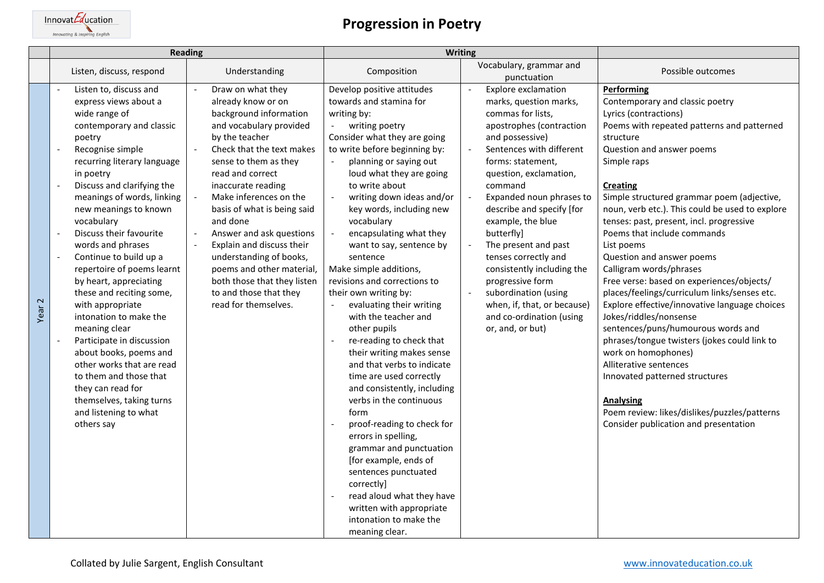$\underbrace{\text{Innovat} \textit{Equation}}_{\textit{Innovating} \text{ English}}$ 

| <b>Reading</b>    |                                                                                                                                                                                                                                                                                                                                                                                                                                                                                                                                                                                                                                                                                                              | Writing                                                                                                                                                                                                                                                                                                                                                                                                                                                                               |                                                                                                                                                                                                                                                                                                                                                                                                                                                                                                                                                                                                                                                                                                                                                                                                                                                                                                                                                                          |                                                                                                                                                                                                                                                                                                                                                                                                                                                                                                                                                                                                                                                       |                                                                                                                                                                                                                                                                                                                                                                                                                                                                                                                                                                                                                                                                                                                                                                                                                                                                                                                  |
|-------------------|--------------------------------------------------------------------------------------------------------------------------------------------------------------------------------------------------------------------------------------------------------------------------------------------------------------------------------------------------------------------------------------------------------------------------------------------------------------------------------------------------------------------------------------------------------------------------------------------------------------------------------------------------------------------------------------------------------------|---------------------------------------------------------------------------------------------------------------------------------------------------------------------------------------------------------------------------------------------------------------------------------------------------------------------------------------------------------------------------------------------------------------------------------------------------------------------------------------|--------------------------------------------------------------------------------------------------------------------------------------------------------------------------------------------------------------------------------------------------------------------------------------------------------------------------------------------------------------------------------------------------------------------------------------------------------------------------------------------------------------------------------------------------------------------------------------------------------------------------------------------------------------------------------------------------------------------------------------------------------------------------------------------------------------------------------------------------------------------------------------------------------------------------------------------------------------------------|-------------------------------------------------------------------------------------------------------------------------------------------------------------------------------------------------------------------------------------------------------------------------------------------------------------------------------------------------------------------------------------------------------------------------------------------------------------------------------------------------------------------------------------------------------------------------------------------------------------------------------------------------------|------------------------------------------------------------------------------------------------------------------------------------------------------------------------------------------------------------------------------------------------------------------------------------------------------------------------------------------------------------------------------------------------------------------------------------------------------------------------------------------------------------------------------------------------------------------------------------------------------------------------------------------------------------------------------------------------------------------------------------------------------------------------------------------------------------------------------------------------------------------------------------------------------------------|
|                   | Listen, discuss, respond                                                                                                                                                                                                                                                                                                                                                                                                                                                                                                                                                                                                                                                                                     | Understanding                                                                                                                                                                                                                                                                                                                                                                                                                                                                         | Composition                                                                                                                                                                                                                                                                                                                                                                                                                                                                                                                                                                                                                                                                                                                                                                                                                                                                                                                                                              | Vocabulary, grammar and<br>punctuation                                                                                                                                                                                                                                                                                                                                                                                                                                                                                                                                                                                                                | Possible outcomes                                                                                                                                                                                                                                                                                                                                                                                                                                                                                                                                                                                                                                                                                                                                                                                                                                                                                                |
| Year <sub>2</sub> | Listen to, discuss and<br>express views about a<br>wide range of<br>contemporary and classic<br>poetry<br>Recognise simple<br>recurring literary language<br>in poetry<br>Discuss and clarifying the<br>meanings of words, linking<br>new meanings to known<br>vocabulary<br>Discuss their favourite<br>words and phrases<br>Continue to build up a<br>repertoire of poems learnt<br>by heart, appreciating<br>these and reciting some,<br>with appropriate<br>intonation to make the<br>meaning clear<br>Participate in discussion<br>about books, poems and<br>other works that are read<br>to them and those that<br>they can read for<br>themselves, taking turns<br>and listening to what<br>others say | Draw on what they<br>already know or on<br>background information<br>and vocabulary provided<br>by the teacher<br>Check that the text makes<br>sense to them as they<br>read and correct<br>inaccurate reading<br>Make inferences on the<br>basis of what is being said<br>and done<br>Answer and ask questions<br>Explain and discuss their<br>understanding of books,<br>poems and other material,<br>both those that they listen<br>to and those that they<br>read for themselves. | Develop positive attitudes<br>towards and stamina for<br>writing by:<br>writing poetry<br>Consider what they are going<br>to write before beginning by:<br>planning or saying out<br>loud what they are going<br>to write about<br>writing down ideas and/or<br>key words, including new<br>vocabulary<br>encapsulating what they<br>want to say, sentence by<br>sentence<br>Make simple additions,<br>revisions and corrections to<br>their own writing by:<br>evaluating their writing<br>with the teacher and<br>other pupils<br>re-reading to check that<br>their writing makes sense<br>and that verbs to indicate<br>time are used correctly<br>and consistently, including<br>verbs in the continuous<br>form<br>proof-reading to check for<br>errors in spelling,<br>grammar and punctuation<br>[for example, ends of<br>sentences punctuated<br>correctivi<br>read aloud what they have<br>written with appropriate<br>intonation to make the<br>meaning clear. | <b>Explore exclamation</b><br>$\overline{a}$<br>marks, question marks,<br>commas for lists,<br>apostrophes (contraction<br>and possessive)<br>Sentences with different<br>$\overline{\phantom{a}}$<br>forms: statement,<br>question, exclamation,<br>command<br>Expanded noun phrases to<br>$\overline{\phantom{a}}$<br>describe and specify [for<br>example, the blue<br>butterfly]<br>The present and past<br>$\overline{\phantom{a}}$<br>tenses correctly and<br>consistently including the<br>progressive form<br>subordination (using<br>$\overline{\phantom{a}}$<br>when, if, that, or because)<br>and co-ordination (using<br>or, and, or but) | Performing<br>Contemporary and classic poetry<br>Lyrics (contractions)<br>Poems with repeated patterns and patterned<br>structure<br>Question and answer poems<br>Simple raps<br><b>Creating</b><br>Simple structured grammar poem (adjective,<br>noun, verb etc.). This could be used to explore<br>tenses: past, present, incl. progressive<br>Poems that include commands<br>List poems<br>Question and answer poems<br>Calligram words/phrases<br>Free verse: based on experiences/objects/<br>places/feelings/curriculum links/senses etc.<br>Explore effective/innovative language choices<br>Jokes/riddles/nonsense<br>sentences/puns/humourous words and<br>phrases/tongue twisters (jokes could link to<br>work on homophones)<br>Alliterative sentences<br>Innovated patterned structures<br><b>Analysing</b><br>Poem review: likes/dislikes/puzzles/patterns<br>Consider publication and presentation |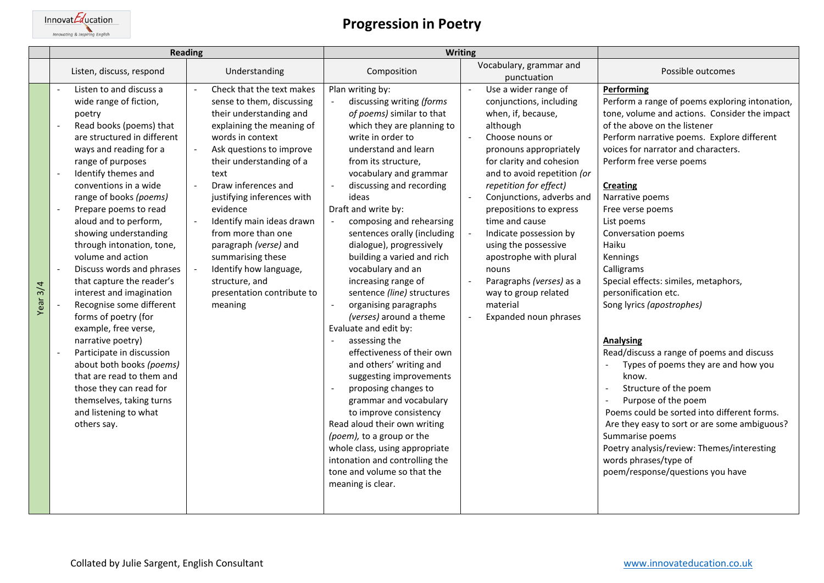

| Reading  |                                                                                                                                                                                                                                                                                                                                                                                                                                                                                                                                                                                                                                                                                                                                                                                     | Writing                                                                                                                                                                                                                                                                                                                                                                                                                                                   |                                                                                                                                                                                                                                                                                                                                                                                                                                                                                                                                                                                                                                                                                                                                                                                                                                                                                                                      |                                                                                                                                                                                                                                                                                                                                                                                                                                                                                       |                                                                                                                                                                                                                                                                                                                                                                                                                                                                                                                                                                                                                                                                                                                                                                                                                                                                                     |
|----------|-------------------------------------------------------------------------------------------------------------------------------------------------------------------------------------------------------------------------------------------------------------------------------------------------------------------------------------------------------------------------------------------------------------------------------------------------------------------------------------------------------------------------------------------------------------------------------------------------------------------------------------------------------------------------------------------------------------------------------------------------------------------------------------|-----------------------------------------------------------------------------------------------------------------------------------------------------------------------------------------------------------------------------------------------------------------------------------------------------------------------------------------------------------------------------------------------------------------------------------------------------------|----------------------------------------------------------------------------------------------------------------------------------------------------------------------------------------------------------------------------------------------------------------------------------------------------------------------------------------------------------------------------------------------------------------------------------------------------------------------------------------------------------------------------------------------------------------------------------------------------------------------------------------------------------------------------------------------------------------------------------------------------------------------------------------------------------------------------------------------------------------------------------------------------------------------|---------------------------------------------------------------------------------------------------------------------------------------------------------------------------------------------------------------------------------------------------------------------------------------------------------------------------------------------------------------------------------------------------------------------------------------------------------------------------------------|-------------------------------------------------------------------------------------------------------------------------------------------------------------------------------------------------------------------------------------------------------------------------------------------------------------------------------------------------------------------------------------------------------------------------------------------------------------------------------------------------------------------------------------------------------------------------------------------------------------------------------------------------------------------------------------------------------------------------------------------------------------------------------------------------------------------------------------------------------------------------------------|
|          | Listen, discuss, respond                                                                                                                                                                                                                                                                                                                                                                                                                                                                                                                                                                                                                                                                                                                                                            | Understanding                                                                                                                                                                                                                                                                                                                                                                                                                                             | Composition                                                                                                                                                                                                                                                                                                                                                                                                                                                                                                                                                                                                                                                                                                                                                                                                                                                                                                          | Vocabulary, grammar and<br>punctuation                                                                                                                                                                                                                                                                                                                                                                                                                                                | Possible outcomes                                                                                                                                                                                                                                                                                                                                                                                                                                                                                                                                                                                                                                                                                                                                                                                                                                                                   |
| Year 3/4 | Listen to and discuss a<br>wide range of fiction,<br>poetry<br>Read books (poems) that<br>are structured in different<br>ways and reading for a<br>range of purposes<br>Identify themes and<br>$\blacksquare$<br>conventions in a wide<br>range of books (poems)<br>Prepare poems to read<br>aloud and to perform,<br>showing understanding<br>through intonation, tone,<br>volume and action<br>Discuss words and phrases<br>$\sim$<br>that capture the reader's<br>interest and imagination<br>Recognise some different<br>forms of poetry (for<br>example, free verse,<br>narrative poetry)<br>Participate in discussion<br>about both books (poems)<br>that are read to them and<br>those they can read for<br>themselves, taking turns<br>and listening to what<br>others say. | Check that the text makes<br>sense to them, discussing<br>their understanding and<br>explaining the meaning of<br>words in context<br>Ask questions to improve<br>their understanding of a<br>text<br>Draw inferences and<br>justifying inferences with<br>evidence<br>Identify main ideas drawn<br>from more than one<br>paragraph (verse) and<br>summarising these<br>Identify how language,<br>structure, and<br>presentation contribute to<br>meaning | Plan writing by:<br>discussing writing (forms<br>of poems) similar to that<br>which they are planning to<br>write in order to<br>understand and learn<br>from its structure,<br>vocabulary and grammar<br>discussing and recording<br>ideas<br>Draft and write by:<br>composing and rehearsing<br>sentences orally (including<br>dialogue), progressively<br>building a varied and rich<br>vocabulary and an<br>increasing range of<br>sentence (line) structures<br>organising paragraphs<br>(verses) around a theme<br>Evaluate and edit by:<br>assessing the<br>effectiveness of their own<br>and others' writing and<br>suggesting improvements<br>proposing changes to<br>grammar and vocabulary<br>to improve consistency<br>Read aloud their own writing<br>(poem), to a group or the<br>whole class, using appropriate<br>intonation and controlling the<br>tone and volume so that the<br>meaning is clear. | Use a wider range of<br>conjunctions, including<br>when, if, because,<br>although<br>Choose nouns or<br>pronouns appropriately<br>for clarity and cohesion<br>and to avoid repetition (or<br>repetition for effect)<br>Conjunctions, adverbs and<br>prepositions to express<br>time and cause<br>Indicate possession by<br>using the possessive<br>apostrophe with plural<br>nouns<br>Paragraphs (verses) as a<br>$\sim$<br>way to group related<br>material<br>Expanded noun phrases | Performing<br>Perform a range of poems exploring intonation,<br>tone, volume and actions. Consider the impact<br>of the above on the listener<br>Perform narrative poems. Explore different<br>voices for narrator and characters.<br>Perform free verse poems<br><b>Creating</b><br>Narrative poems<br>Free verse poems<br>List poems<br>Conversation poems<br>Haiku<br>Kennings<br>Calligrams<br>Special effects: similes, metaphors,<br>personification etc.<br>Song lyrics (apostrophes)<br>Analysing<br>Read/discuss a range of poems and discuss<br>Types of poems they are and how you<br>know.<br>Structure of the poem<br>Purpose of the poem<br>Poems could be sorted into different forms.<br>Are they easy to sort or are some ambiguous?<br>Summarise poems<br>Poetry analysis/review: Themes/interesting<br>words phrases/type of<br>poem/response/questions you have |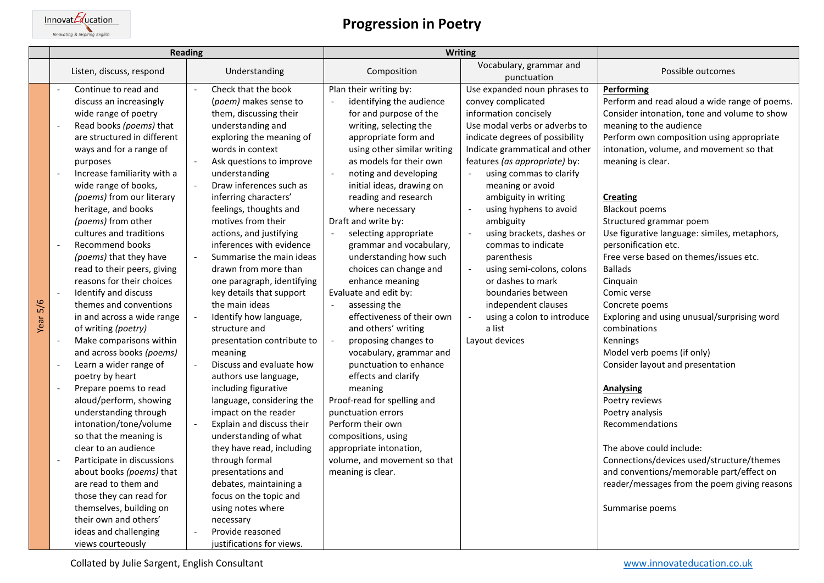$\underbrace{\text{Innovat} \textit{Equation}_{\text{Innovating} \text{ English}}}$ 

| <b>Reading</b> |                                                                                                                                                                                                                                                                                                                                                                                                                                                                                                                                                                                                                                                                                                                                                                                                                                                                                                                                                                                                                                        | <b>Writing</b>                                                                                                                                                                                                                                                                                                                                                                                                                                                                                                                                                                                                                                                                                                                                                                                                                                                                                                                                                                      |                                                                                                                                                                                                                                                                                                                                                                                                                                                                                                                                                                                                                                                                                                                                                                                                                                                      |                                                                                                                                                                                                                                                                                                                                                                                                                                                                                                                                                                                                                       |                                                                                                                                                                                                                                                                                                                                                                                                                                                                                                                                                                                                                                                                                                                                                                                                                                                                                                                               |
|----------------|----------------------------------------------------------------------------------------------------------------------------------------------------------------------------------------------------------------------------------------------------------------------------------------------------------------------------------------------------------------------------------------------------------------------------------------------------------------------------------------------------------------------------------------------------------------------------------------------------------------------------------------------------------------------------------------------------------------------------------------------------------------------------------------------------------------------------------------------------------------------------------------------------------------------------------------------------------------------------------------------------------------------------------------|-------------------------------------------------------------------------------------------------------------------------------------------------------------------------------------------------------------------------------------------------------------------------------------------------------------------------------------------------------------------------------------------------------------------------------------------------------------------------------------------------------------------------------------------------------------------------------------------------------------------------------------------------------------------------------------------------------------------------------------------------------------------------------------------------------------------------------------------------------------------------------------------------------------------------------------------------------------------------------------|------------------------------------------------------------------------------------------------------------------------------------------------------------------------------------------------------------------------------------------------------------------------------------------------------------------------------------------------------------------------------------------------------------------------------------------------------------------------------------------------------------------------------------------------------------------------------------------------------------------------------------------------------------------------------------------------------------------------------------------------------------------------------------------------------------------------------------------------------|-----------------------------------------------------------------------------------------------------------------------------------------------------------------------------------------------------------------------------------------------------------------------------------------------------------------------------------------------------------------------------------------------------------------------------------------------------------------------------------------------------------------------------------------------------------------------------------------------------------------------|-------------------------------------------------------------------------------------------------------------------------------------------------------------------------------------------------------------------------------------------------------------------------------------------------------------------------------------------------------------------------------------------------------------------------------------------------------------------------------------------------------------------------------------------------------------------------------------------------------------------------------------------------------------------------------------------------------------------------------------------------------------------------------------------------------------------------------------------------------------------------------------------------------------------------------|
|                | Listen, discuss, respond                                                                                                                                                                                                                                                                                                                                                                                                                                                                                                                                                                                                                                                                                                                                                                                                                                                                                                                                                                                                               | Understanding                                                                                                                                                                                                                                                                                                                                                                                                                                                                                                                                                                                                                                                                                                                                                                                                                                                                                                                                                                       | Composition                                                                                                                                                                                                                                                                                                                                                                                                                                                                                                                                                                                                                                                                                                                                                                                                                                          | Vocabulary, grammar and<br>punctuation                                                                                                                                                                                                                                                                                                                                                                                                                                                                                                                                                                                | Possible outcomes                                                                                                                                                                                                                                                                                                                                                                                                                                                                                                                                                                                                                                                                                                                                                                                                                                                                                                             |
| Year 5/6       | Continue to read and<br>discuss an increasingly<br>wide range of poetry<br>Read books (poems) that<br>are structured in different<br>ways and for a range of<br>purposes<br>Increase familiarity with a<br>wide range of books,<br>(poems) from our literary<br>heritage, and books<br>(poems) from other<br>cultures and traditions<br>Recommend books<br>(poems) that they have<br>read to their peers, giving<br>reasons for their choices<br>Identify and discuss<br>themes and conventions<br>in and across a wide range<br>of writing (poetry)<br>Make comparisons within<br>and across books (poems)<br>Learn a wider range of<br>$\overline{\phantom{a}}$<br>poetry by heart<br>Prepare poems to read<br>aloud/perform, showing<br>understanding through<br>intonation/tone/volume<br>so that the meaning is<br>clear to an audience<br>Participate in discussions<br>about books (poems) that<br>are read to them and<br>those they can read for<br>themselves, building on<br>their own and others'<br>ideas and challenging | Check that the book<br>$\sim$<br>(poem) makes sense to<br>them, discussing their<br>understanding and<br>exploring the meaning of<br>words in context<br>Ask questions to improve<br>understanding<br>Draw inferences such as<br>inferring characters'<br>feelings, thoughts and<br>motives from their<br>actions, and justifying<br>inferences with evidence<br>Summarise the main ideas<br>drawn from more than<br>one paragraph, identifying<br>key details that support<br>the main ideas<br>Identify how language,<br>structure and<br>presentation contribute to<br>meaning<br>Discuss and evaluate how<br>authors use language,<br>including figurative<br>language, considering the<br>impact on the reader<br>Explain and discuss their<br>$\overline{\phantom{a}}$<br>understanding of what<br>they have read, including<br>through formal<br>presentations and<br>debates, maintaining a<br>focus on the topic and<br>using notes where<br>necessary<br>Provide reasoned | Plan their writing by:<br>identifying the audience<br>for and purpose of the<br>writing, selecting the<br>appropriate form and<br>using other similar writing<br>as models for their own<br>noting and developing<br>initial ideas, drawing on<br>reading and research<br>where necessary<br>Draft and write by:<br>selecting appropriate<br>grammar and vocabulary,<br>understanding how such<br>choices can change and<br>enhance meaning<br>Evaluate and edit by:<br>assessing the<br>$\sim$<br>effectiveness of their own<br>and others' writing<br>proposing changes to<br>vocabulary, grammar and<br>punctuation to enhance<br>effects and clarify<br>meaning<br>Proof-read for spelling and<br>punctuation errors<br>Perform their own<br>compositions, using<br>appropriate intonation,<br>volume, and movement so that<br>meaning is clear. | Use expanded noun phrases to<br>convey complicated<br>information concisely<br>Use modal verbs or adverbs to<br>indicate degrees of possibility<br>Indicate grammatical and other<br>features (as appropriate) by:<br>using commas to clarify<br>meaning or avoid<br>ambiguity in writing<br>using hyphens to avoid<br>$\Box$<br>ambiguity<br>$\overline{\phantom{a}}$<br>using brackets, dashes or<br>commas to indicate<br>parenthesis<br>using semi-colons, colons<br>$\Box$<br>or dashes to mark<br>boundaries between<br>independent clauses<br>using a colon to introduce<br>$\Box$<br>a list<br>Layout devices | Performing<br>Perform and read aloud a wide range of poems.<br>Consider intonation, tone and volume to show<br>meaning to the audience<br>Perform own composition using appropriate<br>intonation, volume, and movement so that<br>meaning is clear.<br><b>Creating</b><br><b>Blackout poems</b><br>Structured grammar poem<br>Use figurative language: similes, metaphors,<br>personification etc.<br>Free verse based on themes/issues etc.<br><b>Ballads</b><br>Cinquain<br>Comic verse<br>Concrete poems<br>Exploring and using unusual/surprising word<br>combinations<br>Kennings<br>Model verb poems (if only)<br>Consider layout and presentation<br><b>Analysing</b><br>Poetry reviews<br>Poetry analysis<br>Recommendations<br>The above could include:<br>Connections/devices used/structure/themes<br>and conventions/memorable part/effect on<br>reader/messages from the poem giving reasons<br>Summarise poems |
|                | views courteously                                                                                                                                                                                                                                                                                                                                                                                                                                                                                                                                                                                                                                                                                                                                                                                                                                                                                                                                                                                                                      | justifications for views.                                                                                                                                                                                                                                                                                                                                                                                                                                                                                                                                                                                                                                                                                                                                                                                                                                                                                                                                                           |                                                                                                                                                                                                                                                                                                                                                                                                                                                                                                                                                                                                                                                                                                                                                                                                                                                      |                                                                                                                                                                                                                                                                                                                                                                                                                                                                                                                                                                                                                       |                                                                                                                                                                                                                                                                                                                                                                                                                                                                                                                                                                                                                                                                                                                                                                                                                                                                                                                               |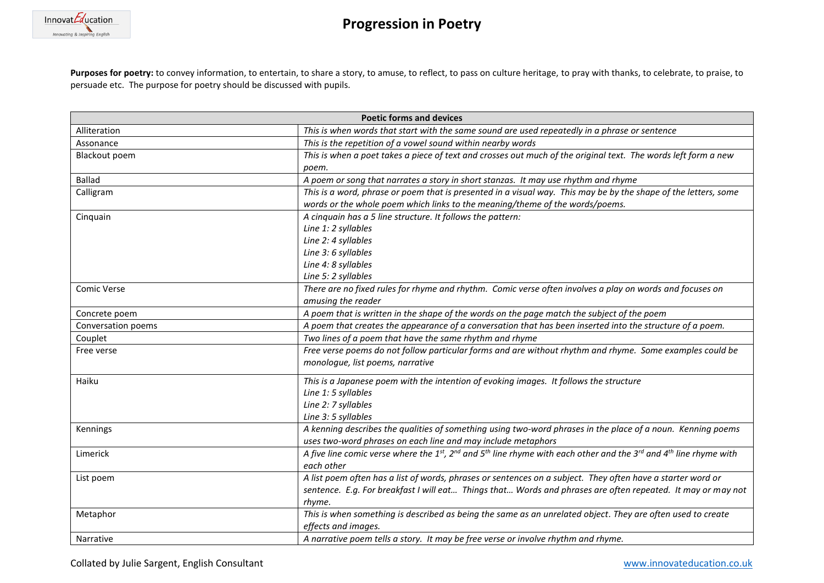

Purposes for poetry: to convey information, to entertain, to share a story, to amuse, to reflect, to pass on culture heritage, to pray with thanks, to celebrate, to praise, to persuade etc. The purpose for poetry should be discussed with pupils.

| <b>Poetic forms and devices</b> |                                                                                                                                                       |  |  |
|---------------------------------|-------------------------------------------------------------------------------------------------------------------------------------------------------|--|--|
| Alliteration                    | This is when words that start with the same sound are used repeatedly in a phrase or sentence                                                         |  |  |
| Assonance                       | This is the repetition of a vowel sound within nearby words                                                                                           |  |  |
| Blackout poem                   | This is when a poet takes a piece of text and crosses out much of the original text. The words left form a new                                        |  |  |
|                                 | poem.                                                                                                                                                 |  |  |
| <b>Ballad</b>                   | A poem or song that narrates a story in short stanzas. It may use rhythm and rhyme                                                                    |  |  |
| Calligram                       | This is a word, phrase or poem that is presented in a visual way. This may be by the shape of the letters, some                                       |  |  |
|                                 | words or the whole poem which links to the meaning/theme of the words/poems.                                                                          |  |  |
| Cinquain                        | A cinquain has a 5 line structure. It follows the pattern:                                                                                            |  |  |
|                                 | Line 1: 2 syllables                                                                                                                                   |  |  |
|                                 | Line 2: 4 syllables                                                                                                                                   |  |  |
|                                 | Line 3: 6 syllables                                                                                                                                   |  |  |
|                                 | Line 4: 8 syllables                                                                                                                                   |  |  |
|                                 | Line 5: 2 syllables                                                                                                                                   |  |  |
| Comic Verse                     | There are no fixed rules for rhyme and rhythm. Comic verse often involves a play on words and focuses on                                              |  |  |
|                                 | amusing the reader                                                                                                                                    |  |  |
| Concrete poem                   | A poem that is written in the shape of the words on the page match the subject of the poem                                                            |  |  |
| Conversation poems              | A poem that creates the appearance of a conversation that has been inserted into the structure of a poem.                                             |  |  |
| Couplet                         | Two lines of a poem that have the same rhythm and rhyme                                                                                               |  |  |
| Free verse                      | Free verse poems do not follow particular forms and are without rhythm and rhyme. Some examples could be                                              |  |  |
|                                 | monologue, list poems, narrative                                                                                                                      |  |  |
| Haiku                           | This is a Japanese poem with the intention of evoking images. It follows the structure                                                                |  |  |
|                                 | Line 1: 5 syllables                                                                                                                                   |  |  |
|                                 | Line 2: 7 syllables                                                                                                                                   |  |  |
|                                 | Line 3: 5 syllables                                                                                                                                   |  |  |
| Kennings                        | A kenning describes the qualities of something using two-word phrases in the place of a noun. Kenning poems                                           |  |  |
|                                 | uses two-word phrases on each line and may include metaphors                                                                                          |  |  |
| Limerick                        | A five line comic verse where the 1st, 2nd and 5 <sup>th</sup> line rhyme with each other and the 3 <sup>rd</sup> and 4 <sup>th</sup> line rhyme with |  |  |
|                                 | each other                                                                                                                                            |  |  |
| List poem                       | A list poem often has a list of words, phrases or sentences on a subject. They often have a starter word or                                           |  |  |
|                                 | sentence. E.g. For breakfast I will eat Things that Words and phrases are often repeated. It may or may not                                           |  |  |
|                                 | rhyme.                                                                                                                                                |  |  |
| Metaphor                        | This is when something is described as being the same as an unrelated object. They are often used to create                                           |  |  |
|                                 | effects and images.                                                                                                                                   |  |  |
| Narrative                       | A narrative poem tells a story. It may be free verse or involve rhythm and rhyme.                                                                     |  |  |